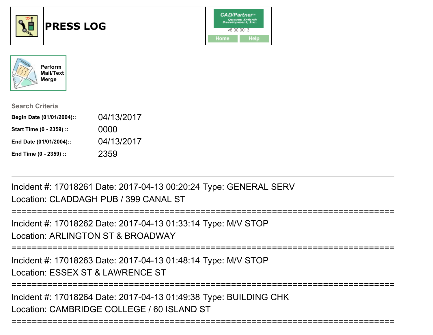



| <b>Search Criteria</b>    |            |
|---------------------------|------------|
| Begin Date (01/01/2004):: | 04/13/2017 |
| Start Time (0 - 2359) ::  | 0000       |
| End Date (01/01/2004)::   | 04/13/2017 |
| End Time (0 - 2359) ::    | 2359       |

Incident #: 17018261 Date: 2017-04-13 00:20:24 Type: GENERAL SERVLocation: CLADDAGH PUB / 399 CANAL ST

```
===========================================================================
```
Incident #: 17018262 Date: 2017-04-13 01:33:14 Type: M/V STOP

Location: ARLINGTON ST & BROADWAY

===========================================================================

Incident #: 17018263 Date: 2017-04-13 01:48:14 Type: M/V STOP

Location: ESSEX ST & LAWRENCE ST

===========================================================================

===========================================================================

Incident #: 17018264 Date: 2017-04-13 01:49:38 Type: BUILDING CHKLocation: CAMBRIDGE COLLEGE / 60 ISLAND ST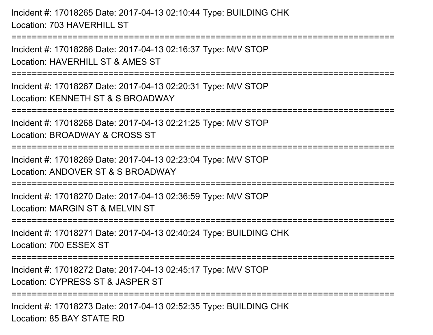Incident #: 17018265 Date: 2017-04-13 02:10:44 Type: BUILDING CHKLocation: 703 HAVERHILL ST

===========================================================================

Incident #: 17018266 Date: 2017-04-13 02:16:37 Type: M/V STOPLocation: HAVERHILL ST & AMES ST

===========================================================================

Incident #: 17018267 Date: 2017-04-13 02:20:31 Type: M/V STOPLocation: KENNETH ST & S BROADWAY

===========================================================================

Incident #: 17018268 Date: 2017-04-13 02:21:25 Type: M/V STOP

Location: BROADWAY & CROSS ST

===========================================================================

Incident #: 17018269 Date: 2017-04-13 02:23:04 Type: M/V STOP

Location: ANDOVER ST & S BROADWAY

===========================================================================

Incident #: 17018270 Date: 2017-04-13 02:36:59 Type: M/V STOPLocation: MARGIN ST & MELVIN ST

===========================================================================

Incident #: 17018271 Date: 2017-04-13 02:40:24 Type: BUILDING CHKLocation: 700 ESSEX ST

===========================================================================

Incident #: 17018272 Date: 2017-04-13 02:45:17 Type: M/V STOP

Location: CYPRESS ST & JASPER ST

**==============** 

Incident #: 17018273 Date: 2017-04-13 02:52:35 Type: BUILDING CHKLocation: 85 BAY STATE RD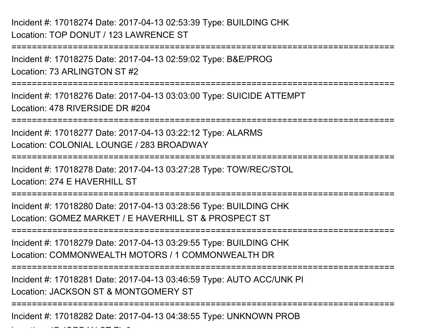Incident #: 17018275 Date: 2017-04-13 02:59:02 Type: B&E/PROGLocation: 73 ARLINGTON ST #2

===========================================================================

 $\mathcal{L}$  and  $\mathcal{L}$  is the state  $\mathcal{L}$  of  $\mathcal{L}$ 

===========================================================================

Incident #: 17018276 Date: 2017-04-13 03:03:00 Type: SUICIDE ATTEMPTLocation: 478 RIVERSIDE DR #204

===========================================================================

Incident #: 17018277 Date: 2017-04-13 03:22:12 Type: ALARMSLocation: COLONIAL LOUNGE / 283 BROADWAY

===========================================================================

Incident #: 17018278 Date: 2017-04-13 03:27:28 Type: TOW/REC/STOLLocation: 274 F HAVERHILL ST

===========================================================================

Incident #: 17018280 Date: 2017-04-13 03:28:56 Type: BUILDING CHKLocation: GOMEZ MARKET / E HAVERHILL ST & PROSPECT ST

===========================================================================

Incident #: 17018279 Date: 2017-04-13 03:29:55 Type: BUILDING CHKLocation: COMMONWEALTH MOTORS / 1 COMMONWEALTH DR

============================== ===========================================================================

Incident #: 17018281 Date: 2017-04-13 03:46:59 Type: AUTO ACC/UNK PILocation: JACKSON ST & MONTGOMERY ST

===========================================================================

Incident #: 17018282 Date: 2017-04-13 04:38:55 Type: UNKNOWN PROB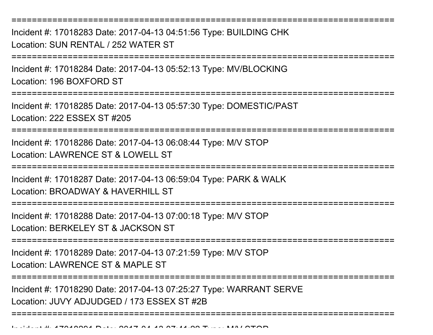Incident #: 17018283 Date: 2017-04-13 04:51:56 Type: BUILDING CHKLocation: SUN RENTAL / 252 WATER ST

===========================================================================

===========================================================================

Incident #: 17018284 Date: 2017-04-13 05:52:13 Type: MV/BLOCKINGLocation: 196 BOXFORD ST

===========================================================================

Incident #: 17018285 Date: 2017-04-13 05:57:30 Type: DOMESTIC/PASTLocation: 222 ESSEX ST #205

===========================================================================

Incident #: 17018286 Date: 2017-04-13 06:08:44 Type: M/V STOPLocation: LAWRENCE ST & LOWELL ST

===========================================================================

Incident #: 17018287 Date: 2017-04-13 06:59:04 Type: PARK & WALK

Location: BROADWAY & HAVERHILL ST

===========================================================================

Incident #: 17018288 Date: 2017-04-13 07:00:18 Type: M/V STOP

Location: BERKELEY ST & JACKSON ST

===========================================================================

Incident #: 17018289 Date: 2017-04-13 07:21:59 Type: M/V STOPLocation: LAWRENCE ST & MAPLE ST

===========================================================================

===========================================================================

Incident #: 17018290 Date: 2017-04-13 07:25:27 Type: WARRANT SERVELocation: JUVY ADJUDGED / 173 ESSEX ST #2B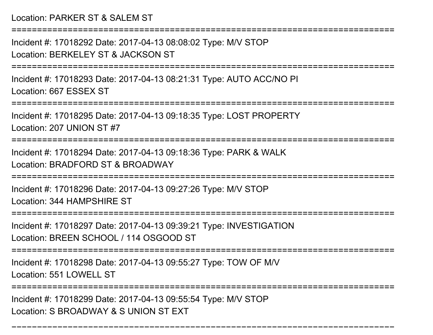Location: PARKER ST & SALEM ST

===========================================================================

Incident #: 17018292 Date: 2017-04-13 08:08:02 Type: M/V STOPLocation: BERKELEY ST & JACKSON ST

===========================================================================

Incident #: 17018293 Date: 2017-04-13 08:21:31 Type: AUTO ACC/NO PILocation: 667 ESSEX ST

===========================================================================

Incident #: 17018295 Date: 2017-04-13 09:18:35 Type: LOST PROPERTYLocation: 207 UNION ST #7

===========================================================================

Incident #: 17018294 Date: 2017-04-13 09:18:36 Type: PARK & WALKLocation: BRADFORD ST & BROADWAY

===========================================================================

Incident #: 17018296 Date: 2017-04-13 09:27:26 Type: M/V STOPLocation: 344 HAMPSHIRE ST

======================

Incident #: 17018297 Date: 2017-04-13 09:39:21 Type: INVESTIGATIONLocation: BREEN SCHOOL / 114 OSGOOD ST

===========================================================================

Incident #: 17018298 Date: 2017-04-13 09:55:27 Type: TOW OF M/V

Location: 551 LOWELL ST

========================

===========================================================================

Incident #: 17018299 Date: 2017-04-13 09:55:54 Type: M/V STOPLocation: S BROADWAY & S UNION ST EXT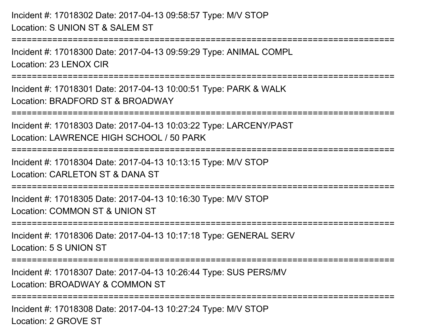Incident #: 17018302 Date: 2017-04-13 09:58:57 Type: M/V STOPLocation: S UNION ST & SALEM ST

Incident #: 17018300 Date: 2017-04-13 09:59:29 Type: ANIMAL COMPLLocation: 23 LENOX CIR

**===============** 

===========================================================================

Incident #: 17018301 Date: 2017-04-13 10:00:51 Type: PARK & WALKLocation: BRADFORD ST & BROADWAY

===========================================================================

Incident #: 17018303 Date: 2017-04-13 10:03:22 Type: LARCENY/PASTLocation: LAWRENCE HIGH SCHOOL / 50 PARK

===========================================================================

Incident #: 17018304 Date: 2017-04-13 10:13:15 Type: M/V STOP

Location: CARLETON ST & DANA ST

===========================================================================

Incident #: 17018305 Date: 2017-04-13 10:16:30 Type: M/V STOP

Location: COMMON ST & UNION ST

===========================================================================

Incident #: 17018306 Date: 2017-04-13 10:17:18 Type: GENERAL SERVLocation: 5 S UNION ST

===========================================================================

Incident #: 17018307 Date: 2017-04-13 10:26:44 Type: SUS PERS/MV

Location: BROADWAY & COMMON ST

===========================================================================

Incident #: 17018308 Date: 2017-04-13 10:27:24 Type: M/V STOPLocation: 2 GROVE ST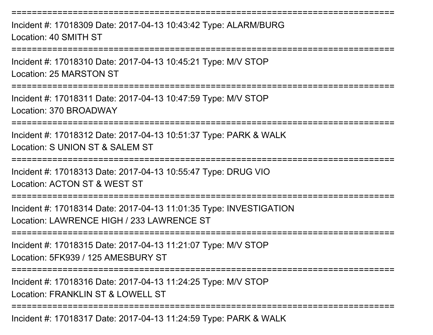Incident #: 17018309 Date: 2017-04-13 10:43:42 Type: ALARM/BURGLocation: 40 SMITH ST

===========================================================================

===========================================================================

Incident #: 17018310 Date: 2017-04-13 10:45:21 Type: M/V STOPLocation: 25 MARSTON ST

===========================================================================

Incident #: 17018311 Date: 2017-04-13 10:47:59 Type: M/V STOPLocation: 370 BROADWAY

===========================================================================

Incident #: 17018312 Date: 2017-04-13 10:51:37 Type: PARK & WALKLocation: S UNION ST & SALEM ST

===========================================================================

Incident #: 17018313 Date: 2017-04-13 10:55:47 Type: DRUG VIO

Location: ACTON ST & WEST ST

===========================================================================

Incident #: 17018314 Date: 2017-04-13 11:01:35 Type: INVESTIGATIONLocation: LAWRENCE HIGH / 233 LAWRENCE ST

===========================================================================

Incident #: 17018315 Date: 2017-04-13 11:21:07 Type: M/V STOPLocation: 5FK939 / 125 AMESBURY ST

===========================================================================

Incident #: 17018316 Date: 2017-04-13 11:24:25 Type: M/V STOP

Location: FRANKLIN ST & LOWELL ST

===========================================================================

Incident #: 17018317 Date: 2017-04-13 11:24:59 Type: PARK & WALK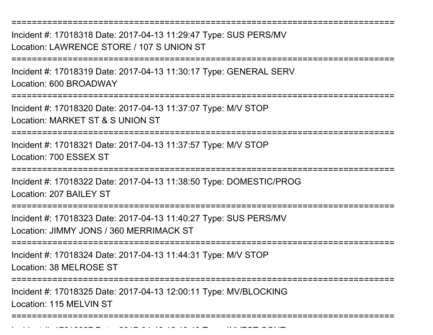Incident #: 17018318 Date: 2017-04-13 11:29:47 Type: SUS PERS/MVLocation: LAWRENCE STORE / 107 S UNION ST

===========================================================================

===========================================================================

Incident #: 17018319 Date: 2017-04-13 11:30:17 Type: GENERAL SERVLocation: 600 BROADWAY

===========================================================================

Incident #: 17018320 Date: 2017-04-13 11:37:07 Type: M/V STOPLocation: MARKET ST & S UNION ST

===========================================================================

Incident #: 17018321 Date: 2017-04-13 11:37:57 Type: M/V STOPLocation: 700 ESSEX ST

===========================================================================

Incident #: 17018322 Date: 2017-04-13 11:38:50 Type: DOMESTIC/PROGLocation: 207 BAILEY ST

===========================================================================

Incident #: 17018323 Date: 2017-04-13 11:40:27 Type: SUS PERS/MVLocation: JIMMY JONS / 360 MERRIMACK ST

===========================================================================

Incident #: 17018324 Date: 2017-04-13 11:44:31 Type: M/V STOP

Location: 38 MELROSE ST

Incident #: 17018327 Date: 2017

=======================

Incident #: 17018325 Date: 2017-04-13 12:00:11 Type: MV/BLOCKINGLocation: 115 MELVIN ST

===========================================================================

<sup>04</sup> 13 12:10:40 Type: INVEST CONT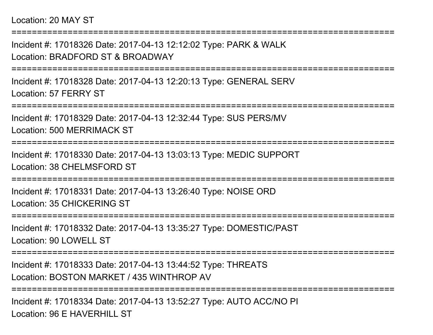Location: 20 MAY ST

===========================================================================Incident #: 17018326 Date: 2017-04-13 12:12:02 Type: PARK & WALKLocation: BRADFORD ST & BROADWAY===========================================================================Incident #: 17018328 Date: 2017-04-13 12:20:13 Type: GENERAL SERVLocation: 57 FERRY ST===========================================================================Incident #: 17018329 Date: 2017-04-13 12:32:44 Type: SUS PERS/MVLocation: 500 MERRIMACK ST===========================================================================Incident #: 17018330 Date: 2017-04-13 13:03:13 Type: MEDIC SUPPORTLocation: 38 CHELMSFORD ST===========================================================================Incident #: 17018331 Date: 2017-04-13 13:26:40 Type: NOISE ORDLocation: 35 CHICKERING ST===========================================================================Incident #: 17018332 Date: 2017-04-13 13:35:27 Type: DOMESTIC/PASTLocation: 90 LOWELL ST===========================================================================Incident #: 17018333 Date: 2017-04-13 13:44:52 Type: THREATSLocation: BOSTON MARKET / 435 WINTHROP AV===========================================================================Incident #: 17018334 Date: 2017-04-13 13:52:27 Type: AUTO ACC/NO PI

Location: 96 F HAVERHILL ST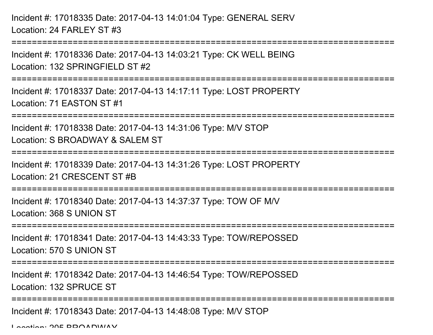Incident #: 17018335 Date: 2017-04-13 14:01:04 Type: GENERAL SERVLocation: 24 FARLEY ST #3===========================================================================Incident #: 17018336 Date: 2017-04-13 14:03:21 Type: CK WELL BEINGLocation: 132 SPRINGFIFLD ST #2 ===========================================================================Incident #: 17018337 Date: 2017-04-13 14:17:11 Type: LOST PROPERTYLocation: 71 EASTON ST #1===========================================================================Incident #: 17018338 Date: 2017-04-13 14:31:06 Type: M/V STOPLocation: S BROADWAY & SALEM ST===========================================================================Incident #: 17018339 Date: 2017-04-13 14:31:26 Type: LOST PROPERTYLocation: 21 CRESCENT ST #B===========================================================================Incident #: 17018340 Date: 2017-04-13 14:37:37 Type: TOW OF M/VLocation: 368 S UNION ST===========================================================================Incident #: 17018341 Date: 2017-04-13 14:43:33 Type: TOW/REPOSSEDLocation: 570 S UNION ST===========================================================================Incident #: 17018342 Date: 2017-04-13 14:46:54 Type: TOW/REPOSSEDLocation: 132 SPRUCE ST===========================================================================Incident #: 17018343 Date: 2017-04-13 14:48:08 Type: M/V STOPLocation: 205 BBOADWAY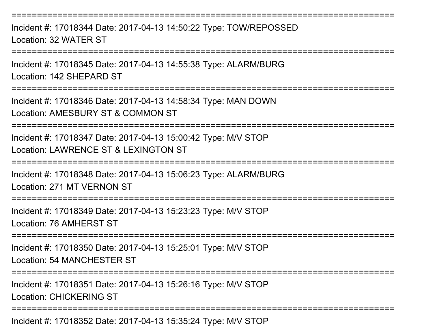===========================================================================Incident #: 17018344 Date: 2017-04-13 14:50:22 Type: TOW/REPOSSEDLocation: 32 WATER ST===========================================================================Incident #: 17018345 Date: 2017-04-13 14:55:38 Type: ALARM/BURGLocation: 142 SHEPARD ST===========================================================================Incident #: 17018346 Date: 2017-04-13 14:58:34 Type: MAN DOWNLocation: AMESBURY ST & COMMON ST===========================================================================Incident #: 17018347 Date: 2017-04-13 15:00:42 Type: M/V STOPLocation: LAWRENCE ST & LEXINGTON ST===========================================================================Incident #: 17018348 Date: 2017-04-13 15:06:23 Type: ALARM/BURGLocation: 271 MT VERNON ST===========================================================================Incident #: 17018349 Date: 2017-04-13 15:23:23 Type: M/V STOPLocation: 76 AMHERST ST===========================================================================Incident #: 17018350 Date: 2017-04-13 15:25:01 Type: M/V STOPLocation: 54 MANCHESTER ST===========================================================================Incident #: 17018351 Date: 2017-04-13 15:26:16 Type: M/V STOP

Location: CHICKERING ST

===========================================================================

Incident #: 17018352 Date: 2017-04-13 15:35:24 Type: M/V STOP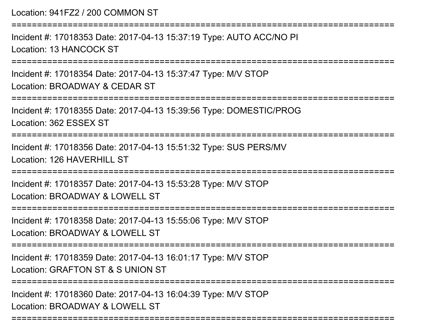Location: 941FZ2 / 200 COMMON ST===========================================================================Incident #: 17018353 Date: 2017-04-13 15:37:19 Type: AUTO ACC/NO PILocation: 13 HANCOCK ST===========================================================================Incident #: 17018354 Date: 2017-04-13 15:37:47 Type: M/V STOPLocation: BROADWAY & CEDAR ST===========================================================================Incident #: 17018355 Date: 2017-04-13 15:39:56 Type: DOMESTIC/PROGLocation: 362 ESSEX ST===========================================================================Incident #: 17018356 Date: 2017-04-13 15:51:32 Type: SUS PERS/MVLocation: 126 HAVERHILL ST===========================================================================Incident #: 17018357 Date: 2017-04-13 15:53:28 Type: M/V STOPLocation: BROADWAY & LOWELL ST ===========================================================================Incident #: 17018358 Date: 2017-04-13 15:55:06 Type: M/V STOPLocation: BROADWAY & LOWELL ST===========================================================================Incident #: 17018359 Date: 2017-04-13 16:01:17 Type: M/V STOPLocation: GRAFTON ST & S UNION ST===========================================================================Incident #: 17018360 Date: 2017-04-13 16:04:39 Type: M/V STOPLocation: BROADWAY & LOWELL ST

===========================================================================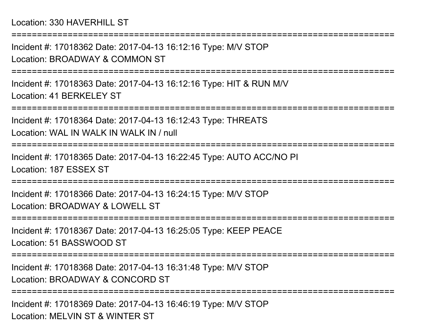Incident #: 17018362 Date: 2017-04-13 16:12:16 Type: M/V STOPLocation: BROADWAY & COMMON ST

===========================================================================

===========================================================================

Incident #: 17018363 Date: 2017-04-13 16:12:16 Type: HIT & RUN M/VLocation: 41 BERKELEY ST

===========================================================================

Incident #: 17018364 Date: 2017-04-13 16:12:43 Type: THREATS

Location: WAL IN WALK IN WALK IN / null

**================** 

Incident #: 17018365 Date: 2017-04-13 16:22:45 Type: AUTO ACC/NO PILocation: 187 ESSEX ST

================

Incident #: 17018366 Date: 2017-04-13 16:24:15 Type: M/V STOPLocation: BROADWAY & LOWELL ST

===========================================================================

Incident #: 17018367 Date: 2017-04-13 16:25:05 Type: KEEP PEACELocation: 51 BASSWOOD ST

===========================================================================

Incident #: 17018368 Date: 2017-04-13 16:31:48 Type: M/V STOPLocation: BROADWAY & CONCORD ST

===========================================================================

Incident #: 17018369 Date: 2017-04-13 16:46:19 Type: M/V STOPLocation: MELVIN ST & WINTER ST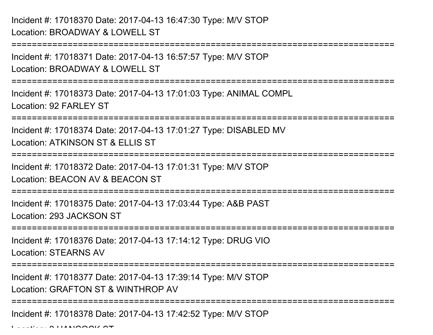Incident #: 17018370 Date: 2017-04-13 16:47:30 Type: M/V STOPLocation: BROADWAY & LOWELL ST

===========================================================================Incident #: 17018371 Date: 2017-04-13 16:57:57 Type: M/V STOPLocation: BROADWAY & LOWELL ST===========================================================================Incident #: 17018373 Date: 2017-04-13 17:01:03 Type: ANIMAL COMPLLocation: 92 FARLEY ST===========================================================================Incident #: 17018374 Date: 2017-04-13 17:01:27 Type: DISABLED MVLocation: ATKINSON ST & ELLIS ST===========================================================================Incident #: 17018372 Date: 2017-04-13 17:01:31 Type: M/V STOPLocation: BEACON AV & BEACON ST===========================================================================Incident #: 17018375 Date: 2017-04-13 17:03:44 Type: A&B PASTLocation: 293 JACKSON ST===========================================================================Incident #: 17018376 Date: 2017-04-13 17:14:12 Type: DRUG VIOLocation: STEARNS AV===========================================================================Incident #: 17018377 Date: 2017-04-13 17:39:14 Type: M/V STOPLocation: GRAFTON ST & WINTHROP AV===========================================================================Incident #: 17018378 Date: 2017-04-13 17:42:52 Type: M/V STOP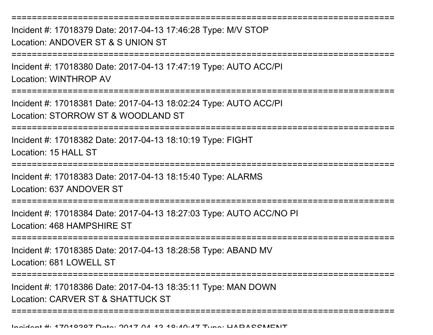===========================================================================Incident #: 17018379 Date: 2017-04-13 17:46:28 Type: M/V STOPLocation: ANDOVER ST & S UNION ST===========================================================================Incident #: 17018380 Date: 2017-04-13 17:47:19 Type: AUTO ACC/PILocation: WINTHROP AV===========================================================================Incident #: 17018381 Date: 2017-04-13 18:02:24 Type: AUTO ACC/PILocation: STORROW ST & WOODLAND ST===========================================================================Incident #: 17018382 Date: 2017-04-13 18:10:19 Type: FIGHTLocation: 15 HALL ST =========================== Incident #: 17018383 Date: 2017-04-13 18:15:40 Type: ALARMSLocation: 637 ANDOVER ST========================== Incident #: 17018384 Date: 2017-04-13 18:27:03 Type: AUTO ACC/NO PILocation: 468 HAMPSHIRE ST===========================================================================Incident #: 17018385 Date: 2017-04-13 18:28:58 Type: ABAND MVLocation: 681 LOWELL ST ===========================================================================Incident #: 17018386 Date: 2017-04-13 18:35:11 Type: MAN DOWNLocation: CARVER ST & SHATTUCK ST===========================================================================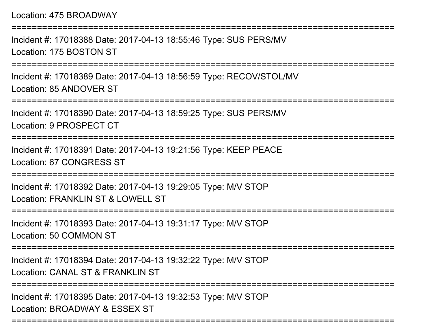===========================================================================Incident #: 17018388 Date: 2017-04-13 18:55:46 Type: SUS PERS/MVLocation: 175 BOSTON ST===========================================================================Incident #: 17018389 Date: 2017-04-13 18:56:59 Type: RECOV/STOL/MVLocation: 85 ANDOVER ST===========================================================================Incident #: 17018390 Date: 2017-04-13 18:59:25 Type: SUS PERS/MVLocation: 9 PROSPECT CT===========================================================================Incident #: 17018391 Date: 2017-04-13 19:21:56 Type: KEEP PEACELocation: 67 CONGRESS ST===========================================================================Incident #: 17018392 Date: 2017-04-13 19:29:05 Type: M/V STOPLocation: FRANKLIN ST & LOWELL ST ===========================================================================Incident #: 17018393 Date: 2017-04-13 19:31:17 Type: M/V STOPLocation: 50 COMMON ST===========================================================================Incident #: 17018394 Date: 2017-04-13 19:32:22 Type: M/V STOPLocation: CANAL ST & FRANKLIN ST ===========================================================================Incident #: 17018395 Date: 2017-04-13 19:32:53 Type: M/V STOPLocation: BROADWAY & ESSEX ST

===========================================================================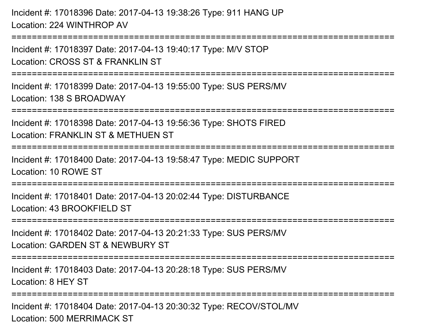Incident #: 17018396 Date: 2017-04-13 19:38:26 Type: 911 HANG UPLocation: 224 WINTHROP AV

===========================================================================

Incident #: 17018397 Date: 2017-04-13 19:40:17 Type: M/V STOPLocation: CROSS ST & FRANKLIN ST

===========================================================================

Incident #: 17018399 Date: 2017-04-13 19:55:00 Type: SUS PERS/MVLocation: 138 S BROADWAY

===========================================================================

Incident #: 17018398 Date: 2017-04-13 19:56:36 Type: SHOTS FIRED

Location: FRANKLIN ST & METHUEN ST

```
===========================================================================
```
Incident #: 17018400 Date: 2017-04-13 19:58:47 Type: MEDIC SUPPORTLocation: 10 ROWE ST

======================

Incident #: 17018401 Date: 2017-04-13 20:02:44 Type: DISTURBANCELocation: 43 BROOKFIELD ST

```
===========================================================================
```
Incident #: 17018402 Date: 2017-04-13 20:21:33 Type: SUS PERS/MV

Location: GARDEN ST & NEWBURY ST

===========================================================================

Incident #: 17018403 Date: 2017-04-13 20:28:18 Type: SUS PERS/MV

Location: 8 HEY ST

===========================================================================

Incident #: 17018404 Date: 2017-04-13 20:30:32 Type: RECOV/STOL/MVLocation: 500 MERRIMACK ST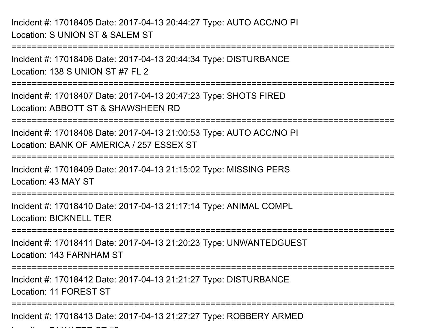Incident #: 17018405 Date: 2017-04-13 20:44:27 Type: AUTO ACC/NO PILocation: S UNION ST & SALEM ST

===========================================================================

Incident #: 17018406 Date: 2017-04-13 20:44:34 Type: DISTURBANCELocation: 138 S UNION ST #7 FL 2

===========================================================================

Incident #: 17018407 Date: 2017-04-13 20:47:23 Type: SHOTS FIREDLocation: ABBOTT ST & SHAWSHEEN RD

===========================================================================

Incident #: 17018408 Date: 2017-04-13 21:00:53 Type: AUTO ACC/NO PILocation: BANK OF AMERICA / 257 ESSEX ST

===========================================================================

Incident #: 17018409 Date: 2017-04-13 21:15:02 Type: MISSING PERSLocation: 43 MAY ST

===========================================================================

Incident #: 17018410 Date: 2017-04-13 21:17:14 Type: ANIMAL COMPL

Location: BICKNELL TER

 $\mathcal{L}$  and  $\mathcal{L}$   $\mathcal{L}$   $\mathcal{L}$   $\mathcal{L}$   $\mathcal{L}$   $\mathcal{L}$   $\mathcal{L}$   $\mathcal{L}$   $\mathcal{L}$   $\mathcal{L}$   $\mathcal{L}$   $\mathcal{L}$   $\mathcal{L}$   $\mathcal{L}$   $\mathcal{L}$   $\mathcal{L}$   $\mathcal{L}$   $\mathcal{L}$   $\mathcal{L}$   $\mathcal{L}$   $\mathcal{L}$   $\mathcal{L}$   $\mathcal{L}$ 

===========================================================================

Incident #: 17018411 Date: 2017-04-13 21:20:23 Type: UNWANTEDGUESTLocation: 143 FARNHAM ST

===========================================================================

Incident #: 17018412 Date: 2017-04-13 21:21:27 Type: DISTURBANCELocation: 11 FOREST ST

===========================================================================

Incident #: 17018413 Date: 2017-04-13 21:27:27 Type: ROBBERY ARMED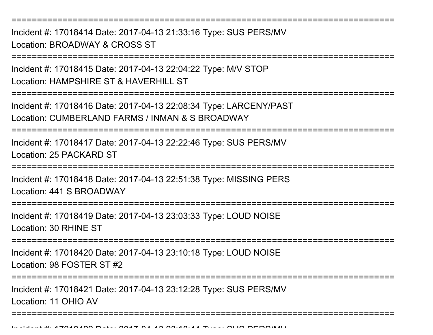===========================================================================

Incident #: 17018414 Date: 2017-04-13 21:33:16 Type: SUS PERS/MVLocation: BROADWAY & CROSS ST

===========================================================================

Incident #: 17018415 Date: 2017-04-13 22:04:22 Type: M/V STOPLocation: HAMPSHIRF ST & HAVERHILL ST

===========================================================================

Incident #: 17018416 Date: 2017-04-13 22:08:34 Type: LARCENY/PASTLocation: CUMBERLAND FARMS / INMAN & S BROADWAY

===========================================================================

Incident #: 17018417 Date: 2017-04-13 22:22:46 Type: SUS PERS/MVLocation: 25 PACKARD ST

===========================================================================

Incident #: 17018418 Date: 2017-04-13 22:51:38 Type: MISSING PERSLocation: 441 S BROADWAY

===========================================================================

Incident #: 17018419 Date: 2017-04-13 23:03:33 Type: LOUD NOISELocation: 30 RHINE ST

===========================================================================

Incident #: 17018420 Date: 2017-04-13 23:10:18 Type: LOUD NOISELocation: 98 FOSTER ST #2

===============

===========================================================================

Incident #: 17018421 Date: 2017-04-13 23:12:28 Type: SUS PERS/MVLocation: 11 OHIO AV